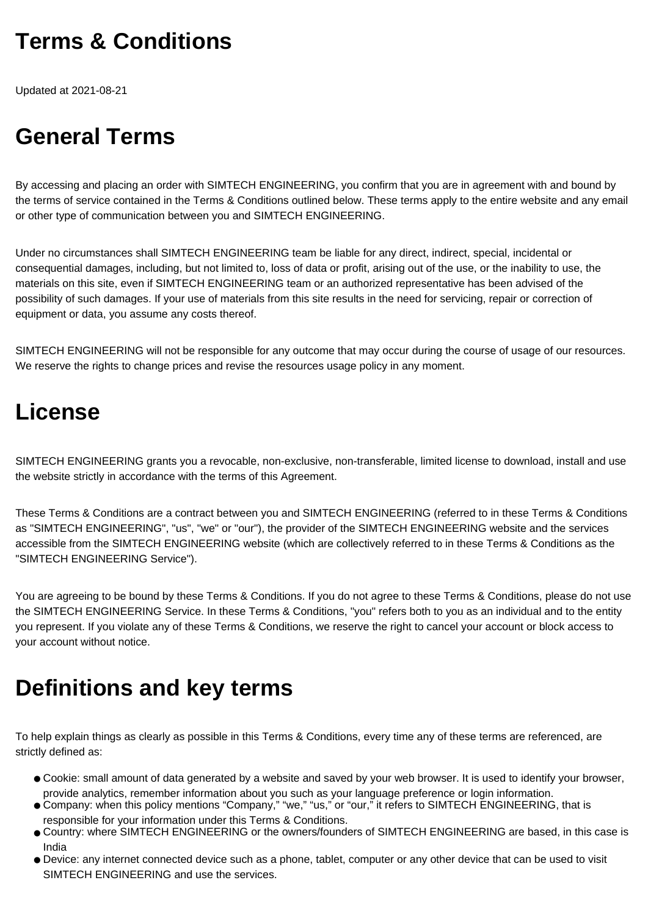# **Terms & Conditions**

Updated at 2021-08-21

# **General Terms**

By accessing and placing an order with SIMTECH ENGINEERING, you confirm that you are in agreement with and bound by the terms of service contained in the Terms & Conditions outlined below. These terms apply to the entire website and any email or other type of communication between you and SIMTECH ENGINEERING.

Under no circumstances shall SIMTECH ENGINEERING team be liable for any direct, indirect, special, incidental or consequential damages, including, but not limited to, loss of data or profit, arising out of the use, or the inability to use, the materials on this site, even if SIMTECH ENGINEERING team or an authorized representative has been advised of the possibility of such damages. If your use of materials from this site results in the need for servicing, repair or correction of equipment or data, you assume any costs thereof.

SIMTECH ENGINEERING will not be responsible for any outcome that may occur during the course of usage of our resources. We reserve the rights to change prices and revise the resources usage policy in any moment.

#### **License**

SIMTECH ENGINEERING grants you a revocable, non-exclusive, non-transferable, limited license to download, install and use the website strictly in accordance with the terms of this Agreement.

These Terms & Conditions are a contract between you and SIMTECH ENGINEERING (referred to in these Terms & Conditions as "SIMTECH ENGINEERING", "us", "we" or "our"), the provider of the SIMTECH ENGINEERING website and the services accessible from the SIMTECH ENGINEERING website (which are collectively referred to in these Terms & Conditions as the "SIMTECH ENGINEERING Service").

You are agreeing to be bound by these Terms & Conditions. If you do not agree to these Terms & Conditions, please do not use the SIMTECH ENGINEERING Service. In these Terms & Conditions, "you" refers both to you as an individual and to the entity you represent. If you violate any of these Terms & Conditions, we reserve the right to cancel your account or block access to your account without notice.

# **Definitions and key terms**

To help explain things as clearly as possible in this Terms & Conditions, every time any of these terms are referenced, are strictly defined as:

- Cookie: small amount of data generated by a website and saved by your web browser. It is used to identify your browser, provide analytics, remember information about you such as your language preference or login information.
- Company: when this policy mentions "Company," "we," "us," or "our," it refers to SIMTECH ENGINEERING, that is responsible for your information under this Terms & Conditions.
- Country: where SIMTECH ENGINEERING or the owners/founders of SIMTECH ENGINEERING are based, in this case is India
- Device: any internet connected device such as a phone, tablet, computer or any other device that can be used to visit SIMTECH ENGINEERING and use the services.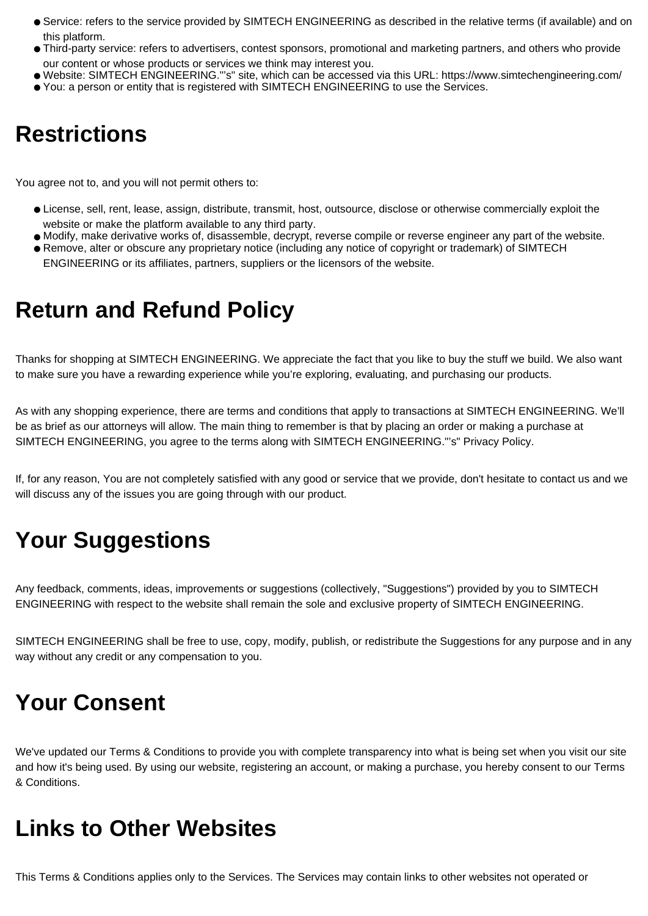- Service: refers to the service provided by SIMTECH ENGINEERING as described in the relative terms (if available) and on this platform.
- Third-party service: refers to advertisers, contest sponsors, promotional and marketing partners, and others who provide our content or whose products or services we think may interest you.
- Website: SIMTECH ENGINEERING."'s" site, which can be accessed via this URL: https://www.simtechengineering.com/

#### ● You: a person or entity that is registered with SIMTECH ENGINEERING to use the Services.

## **Restrictions**

You agree not to, and you will not permit others to:

- License, sell, rent, lease, assign, distribute, transmit, host, outsource, disclose or otherwise commercially exploit the website or make the platform available to any third party.
- Modify, make derivative works of, disassemble, decrypt, reverse compile or reverse engineer any part of the website.
- Remove, alter or obscure any proprietary notice (including any notice of copyright or trademark) of SIMTECH ENGINEERING or its affiliates, partners, suppliers or the licensors of the website.

#### **Return and Refund Policy**

Thanks for shopping at SIMTECH ENGINEERING. We appreciate the fact that you like to buy the stuff we build. We also want to make sure you have a rewarding experience while you're exploring, evaluating, and purchasing our products.

As with any shopping experience, there are terms and conditions that apply to transactions at SIMTECH ENGINEERING. We'll be as brief as our attorneys will allow. The main thing to remember is that by placing an order or making a purchase at SIMTECH ENGINEERING, you agree to the terms along with SIMTECH ENGINEERING."'s" Privacy Policy.

If, for any reason, You are not completely satisfied with any good or service that we provide, don't hesitate to contact us and we will discuss any of the issues you are going through with our product.

# **Your Suggestions**

Any feedback, comments, ideas, improvements or suggestions (collectively, "Suggestions") provided by you to SIMTECH ENGINEERING with respect to the website shall remain the sole and exclusive property of SIMTECH ENGINEERING.

SIMTECH ENGINEERING shall be free to use, copy, modify, publish, or redistribute the Suggestions for any purpose and in any way without any credit or any compensation to you.

# **Your Consent**

We've updated our Terms & Conditions to provide you with complete transparency into what is being set when you visit our site and how it's being used. By using our website, registering an account, or making a purchase, you hereby consent to our Terms & Conditions.

## **Links to Other Websites**

This Terms & Conditions applies only to the Services. The Services may contain links to other websites not operated or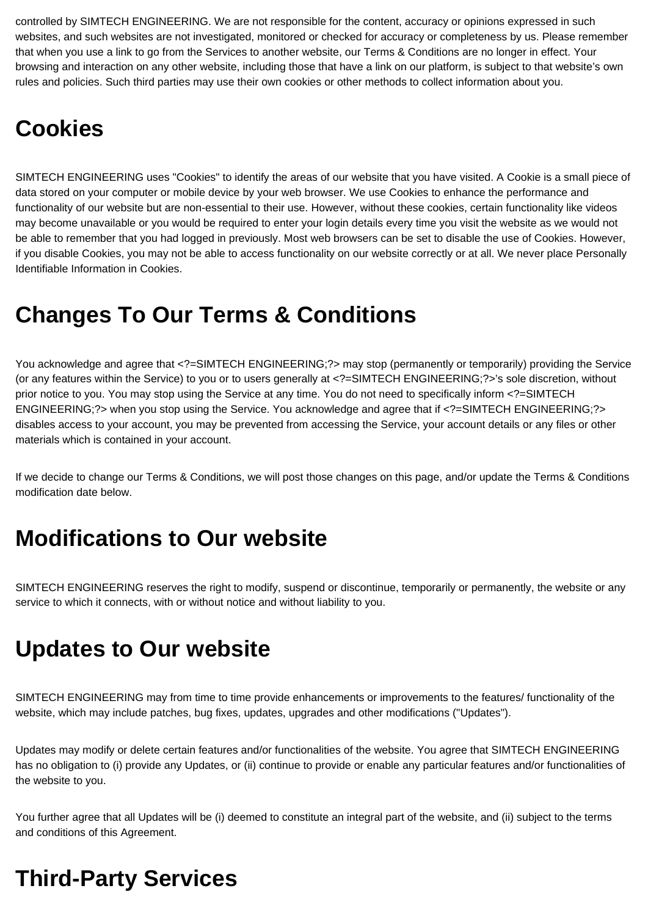controlled by SIMTECH ENGINEERING. We are not responsible for the content, accuracy or opinions expressed in such websites, and such websites are not investigated, monitored or checked for accuracy or completeness by us. Please remember that when you use a link to go from the Services to another website, our Terms & Conditions are no longer in effect. Your browsing and interaction on any other website, including those that have a link on our platform, is subject to that website's own rules and policies. Such third parties may use their own cookies or other methods to collect information about you.

## **Cookies**

SIMTECH ENGINEERING uses "Cookies" to identify the areas of our website that you have visited. A Cookie is a small piece of data stored on your computer or mobile device by your web browser. We use Cookies to enhance the performance and functionality of our website but are non-essential to their use. However, without these cookies, certain functionality like videos may become unavailable or you would be required to enter your login details every time you visit the website as we would not be able to remember that you had logged in previously. Most web browsers can be set to disable the use of Cookies. However, if you disable Cookies, you may not be able to access functionality on our website correctly or at all. We never place Personally Identifiable Information in Cookies.

## **Changes To Our Terms & Conditions**

You acknowledge and agree that <?=SIMTECH ENGINEERING;?> may stop (permanently or temporarily) providing the Service (or any features within the Service) to you or to users generally at <?=SIMTECH ENGINEERING;?>'s sole discretion, without prior notice to you. You may stop using the Service at any time. You do not need to specifically inform <?=SIMTECH ENGINEERING;?> when you stop using the Service. You acknowledge and agree that if <?=SIMTECH ENGINEERING;?> disables access to your account, you may be prevented from accessing the Service, your account details or any files or other materials which is contained in your account.

If we decide to change our Terms & Conditions, we will post those changes on this page, and/or update the Terms & Conditions modification date below.

## **Modifications to Our website**

SIMTECH ENGINEERING reserves the right to modify, suspend or discontinue, temporarily or permanently, the website or any service to which it connects, with or without notice and without liability to you.

## **Updates to Our website**

SIMTECH ENGINEERING may from time to time provide enhancements or improvements to the features/ functionality of the website, which may include patches, bug fixes, updates, upgrades and other modifications ("Updates").

Updates may modify or delete certain features and/or functionalities of the website. You agree that SIMTECH ENGINEERING has no obligation to (i) provide any Updates, or (ii) continue to provide or enable any particular features and/or functionalities of the website to you.

You further agree that all Updates will be (i) deemed to constitute an integral part of the website, and (ii) subject to the terms and conditions of this Agreement.

# **Third-Party Services**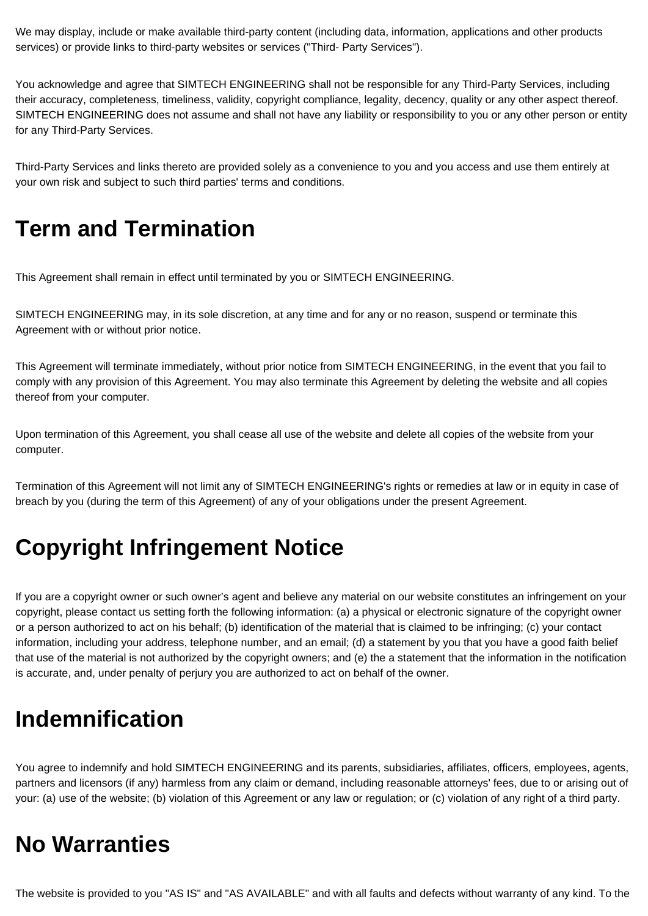We may display, include or make available third-party content (including data, information, applications and other products services) or provide links to third-party websites or services ("Third- Party Services").

You acknowledge and agree that SIMTECH ENGINEERING shall not be responsible for any Third-Party Services, including their accuracy, completeness, timeliness, validity, copyright compliance, legality, decency, quality or any other aspect thereof. SIMTECH ENGINEERING does not assume and shall not have any liability or responsibility to you or any other person or entity for any Third-Party Services.

Third-Party Services and links thereto are provided solely as a convenience to you and you access and use them entirely at your own risk and subject to such third parties' terms and conditions.

#### **Term and Termination**

This Agreement shall remain in effect until terminated by you or SIMTECH ENGINEERING.

SIMTECH ENGINEERING may, in its sole discretion, at any time and for any or no reason, suspend or terminate this Agreement with or without prior notice.

This Agreement will terminate immediately, without prior notice from SIMTECH ENGINEERING, in the event that you fail to comply with any provision of this Agreement. You may also terminate this Agreement by deleting the website and all copies thereof from your computer.

Upon termination of this Agreement, you shall cease all use of the website and delete all copies of the website from your computer.

Termination of this Agreement will not limit any of SIMTECH ENGINEERING's rights or remedies at law or in equity in case of breach by you (during the term of this Agreement) of any of your obligations under the present Agreement.

# **Copyright Infringement Notice**

If you are a copyright owner or such owner's agent and believe any material on our website constitutes an infringement on your copyright, please contact us setting forth the following information: (a) a physical or electronic signature of the copyright owner or a person authorized to act on his behalf; (b) identification of the material that is claimed to be infringing; (c) your contact information, including your address, telephone number, and an email; (d) a statement by you that you have a good faith belief that use of the material is not authorized by the copyright owners; and (e) the a statement that the information in the notification is accurate, and, under penalty of perjury you are authorized to act on behalf of the owner.

#### **Indemnification**

You agree to indemnify and hold SIMTECH ENGINEERING and its parents, subsidiaries, affiliates, officers, employees, agents, partners and licensors (if any) harmless from any claim or demand, including reasonable attorneys' fees, due to or arising out of your: (a) use of the website; (b) violation of this Agreement or any law or regulation; or (c) violation of any right of a third party.

# **No Warranties**

The website is provided to you "AS IS" and "AS AVAILABLE" and with all faults and defects without warranty of any kind. To the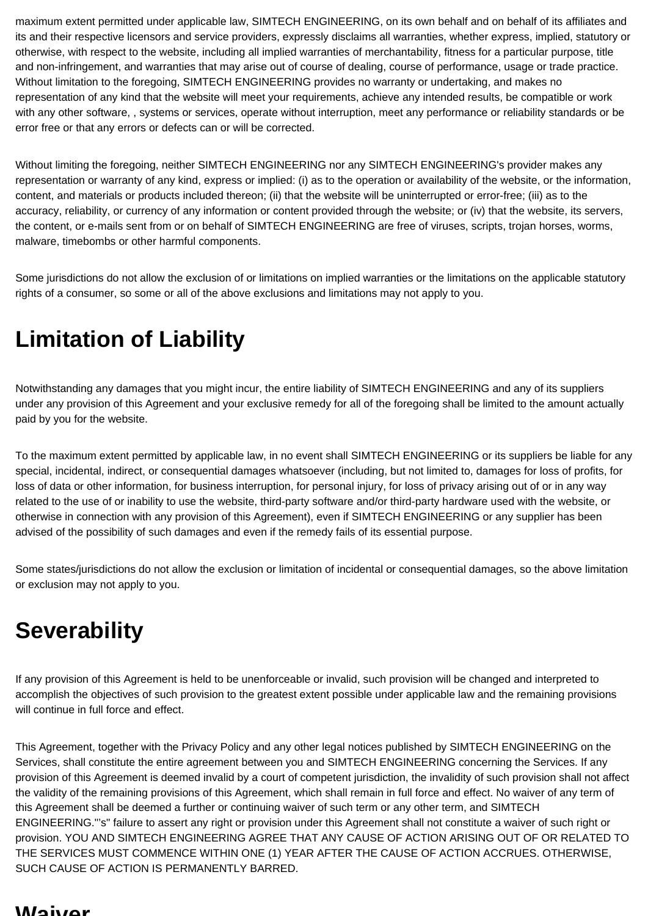maximum extent permitted under applicable law, SIMTECH ENGINEERING, on its own behalf and on behalf of its affiliates and its and their respective licensors and service providers, expressly disclaims all warranties, whether express, implied, statutory or otherwise, with respect to the website, including all implied warranties of merchantability, fitness for a particular purpose, title and non-infringement, and warranties that may arise out of course of dealing, course of performance, usage or trade practice. Without limitation to the foregoing, SIMTECH ENGINEERING provides no warranty or undertaking, and makes no representation of any kind that the website will meet your requirements, achieve any intended results, be compatible or work with any other software, , systems or services, operate without interruption, meet any performance or reliability standards or be error free or that any errors or defects can or will be corrected.

Without limiting the foregoing, neither SIMTECH ENGINEERING nor any SIMTECH ENGINEERING's provider makes any representation or warranty of any kind, express or implied: (i) as to the operation or availability of the website, or the information, content, and materials or products included thereon; (ii) that the website will be uninterrupted or error-free; (iii) as to the accuracy, reliability, or currency of any information or content provided through the website; or (iv) that the website, its servers, the content, or e-mails sent from or on behalf of SIMTECH ENGINEERING are free of viruses, scripts, trojan horses, worms, malware, timebombs or other harmful components.

Some jurisdictions do not allow the exclusion of or limitations on implied warranties or the limitations on the applicable statutory rights of a consumer, so some or all of the above exclusions and limitations may not apply to you.

# **Limitation of Liability**

Notwithstanding any damages that you might incur, the entire liability of SIMTECH ENGINEERING and any of its suppliers under any provision of this Agreement and your exclusive remedy for all of the foregoing shall be limited to the amount actually paid by you for the website.

To the maximum extent permitted by applicable law, in no event shall SIMTECH ENGINEERING or its suppliers be liable for any special, incidental, indirect, or consequential damages whatsoever (including, but not limited to, damages for loss of profits, for loss of data or other information, for business interruption, for personal injury, for loss of privacy arising out of or in any way related to the use of or inability to use the website, third-party software and/or third-party hardware used with the website, or otherwise in connection with any provision of this Agreement), even if SIMTECH ENGINEERING or any supplier has been advised of the possibility of such damages and even if the remedy fails of its essential purpose.

Some states/jurisdictions do not allow the exclusion or limitation of incidental or consequential damages, so the above limitation or exclusion may not apply to you.

# **Severability**

If any provision of this Agreement is held to be unenforceable or invalid, such provision will be changed and interpreted to accomplish the objectives of such provision to the greatest extent possible under applicable law and the remaining provisions will continue in full force and effect.

This Agreement, together with the Privacy Policy and any other legal notices published by SIMTECH ENGINEERING on the Services, shall constitute the entire agreement between you and SIMTECH ENGINEERING concerning the Services. If any provision of this Agreement is deemed invalid by a court of competent jurisdiction, the invalidity of such provision shall not affect the validity of the remaining provisions of this Agreement, which shall remain in full force and effect. No waiver of any term of this Agreement shall be deemed a further or continuing waiver of such term or any other term, and SIMTECH ENGINEERING."'s" failure to assert any right or provision under this Agreement shall not constitute a waiver of such right or provision. YOU AND SIMTECH ENGINEERING AGREE THAT ANY CAUSE OF ACTION ARISING OUT OF OR RELATED TO THE SERVICES MUST COMMENCE WITHIN ONE (1) YEAR AFTER THE CAUSE OF ACTION ACCRUES. OTHERWISE, SUCH CAUSE OF ACTION IS PERMANENTLY BARRED.

#### **Waiver**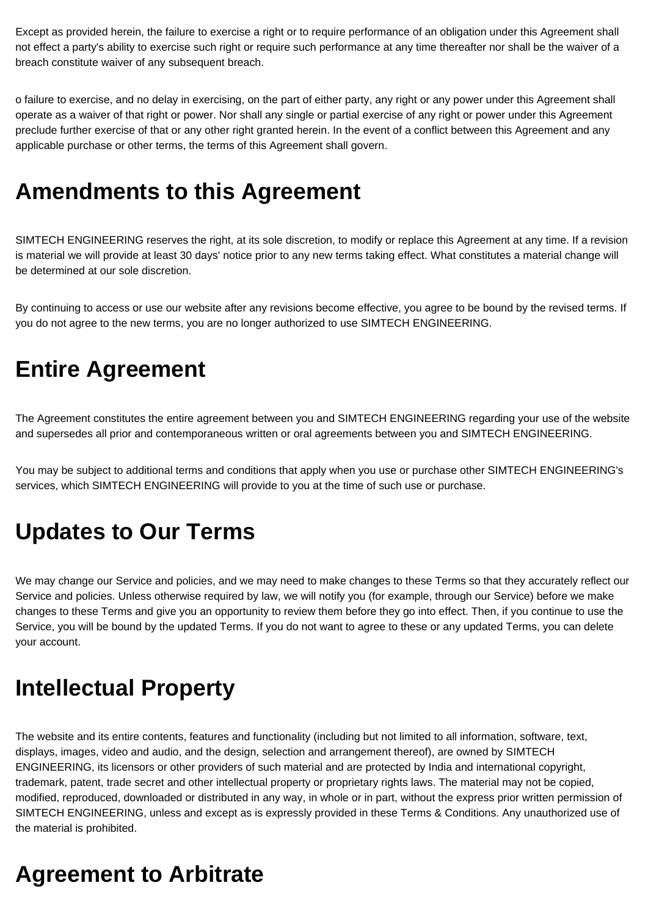Except as provided herein, the failure to exercise a right or to require performance of an obligation under this Agreement shall not effect a party's ability to exercise such right or require such performance at any time thereafter nor shall be the waiver of a breach constitute waiver of any subsequent breach.

o failure to exercise, and no delay in exercising, on the part of either party, any right or any power under this Agreement shall operate as a waiver of that right or power. Nor shall any single or partial exercise of any right or power under this Agreement preclude further exercise of that or any other right granted herein. In the event of a conflict between this Agreement and any applicable purchase or other terms, the terms of this Agreement shall govern.

# **Amendments to this Agreement**

SIMTECH ENGINEERING reserves the right, at its sole discretion, to modify or replace this Agreement at any time. If a revision is material we will provide at least 30 days' notice prior to any new terms taking effect. What constitutes a material change will be determined at our sole discretion.

By continuing to access or use our website after any revisions become effective, you agree to be bound by the revised terms. If you do not agree to the new terms, you are no longer authorized to use SIMTECH ENGINEERING.

## **Entire Agreement**

The Agreement constitutes the entire agreement between you and SIMTECH ENGINEERING regarding your use of the website and supersedes all prior and contemporaneous written or oral agreements between you and SIMTECH ENGINEERING.

You may be subject to additional terms and conditions that apply when you use or purchase other SIMTECH ENGINEERING's services, which SIMTECH ENGINEERING will provide to you at the time of such use or purchase.

# **Updates to Our Terms**

We may change our Service and policies, and we may need to make changes to these Terms so that they accurately reflect our Service and policies. Unless otherwise required by law, we will notify you (for example, through our Service) before we make changes to these Terms and give you an opportunity to review them before they go into effect. Then, if you continue to use the Service, you will be bound by the updated Terms. If you do not want to agree to these or any updated Terms, you can delete your account.

## **Intellectual Property**

The website and its entire contents, features and functionality (including but not limited to all information, software, text, displays, images, video and audio, and the design, selection and arrangement thereof), are owned by SIMTECH ENGINEERING, its licensors or other providers of such material and are protected by India and international copyright, trademark, patent, trade secret and other intellectual property or proprietary rights laws. The material may not be copied, modified, reproduced, downloaded or distributed in any way, in whole or in part, without the express prior written permission of SIMTECH ENGINEERING, unless and except as is expressly provided in these Terms & Conditions. Any unauthorized use of the material is prohibited.

# **Agreement to Arbitrate**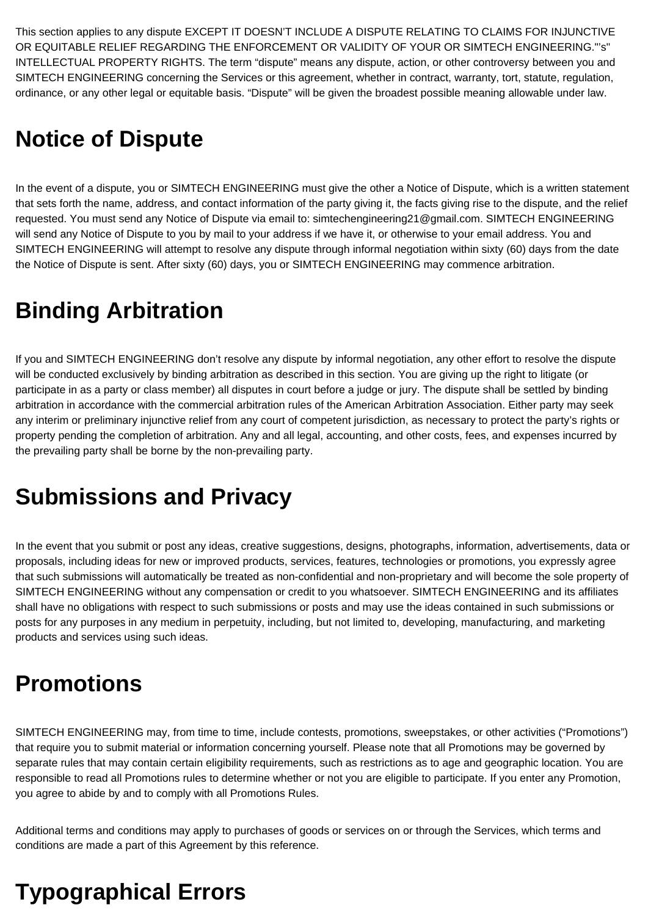This section applies to any dispute EXCEPT IT DOESN'T INCLUDE A DISPUTE RELATING TO CLAIMS FOR INJUNCTIVE OR EQUITABLE RELIEF REGARDING THE ENFORCEMENT OR VALIDITY OF YOUR OR SIMTECH ENGINEERING."'s" INTELLECTUAL PROPERTY RIGHTS. The term "dispute" means any dispute, action, or other controversy between you and SIMTECH ENGINEERING concerning the Services or this agreement, whether in contract, warranty, tort, statute, regulation, ordinance, or any other legal or equitable basis. "Dispute" will be given the broadest possible meaning allowable under law.

# **Notice of Dispute**

In the event of a dispute, you or SIMTECH ENGINEERING must give the other a Notice of Dispute, which is a written statement that sets forth the name, address, and contact information of the party giving it, the facts giving rise to the dispute, and the relief requested. You must send any Notice of Dispute via email to: simtechengineering21@gmail.com. SIMTECH ENGINEERING will send any Notice of Dispute to you by mail to your address if we have it, or otherwise to your email address. You and SIMTECH ENGINEERING will attempt to resolve any dispute through informal negotiation within sixty (60) days from the date the Notice of Dispute is sent. After sixty (60) days, you or SIMTECH ENGINEERING may commence arbitration.

# **Binding Arbitration**

If you and SIMTECH ENGINEERING don't resolve any dispute by informal negotiation, any other effort to resolve the dispute will be conducted exclusively by binding arbitration as described in this section. You are giving up the right to litigate (or participate in as a party or class member) all disputes in court before a judge or jury. The dispute shall be settled by binding arbitration in accordance with the commercial arbitration rules of the American Arbitration Association. Either party may seek any interim or preliminary injunctive relief from any court of competent jurisdiction, as necessary to protect the party's rights or property pending the completion of arbitration. Any and all legal, accounting, and other costs, fees, and expenses incurred by the prevailing party shall be borne by the non-prevailing party.

# **Submissions and Privacy**

In the event that you submit or post any ideas, creative suggestions, designs, photographs, information, advertisements, data or proposals, including ideas for new or improved products, services, features, technologies or promotions, you expressly agree that such submissions will automatically be treated as non-confidential and non-proprietary and will become the sole property of SIMTECH ENGINEERING without any compensation or credit to you whatsoever. SIMTECH ENGINEERING and its affiliates shall have no obligations with respect to such submissions or posts and may use the ideas contained in such submissions or posts for any purposes in any medium in perpetuity, including, but not limited to, developing, manufacturing, and marketing products and services using such ideas.

# **Promotions**

SIMTECH ENGINEERING may, from time to time, include contests, promotions, sweepstakes, or other activities ("Promotions") that require you to submit material or information concerning yourself. Please note that all Promotions may be governed by separate rules that may contain certain eligibility requirements, such as restrictions as to age and geographic location. You are responsible to read all Promotions rules to determine whether or not you are eligible to participate. If you enter any Promotion, you agree to abide by and to comply with all Promotions Rules.

Additional terms and conditions may apply to purchases of goods or services on or through the Services, which terms and conditions are made a part of this Agreement by this reference.

# **Typographical Errors**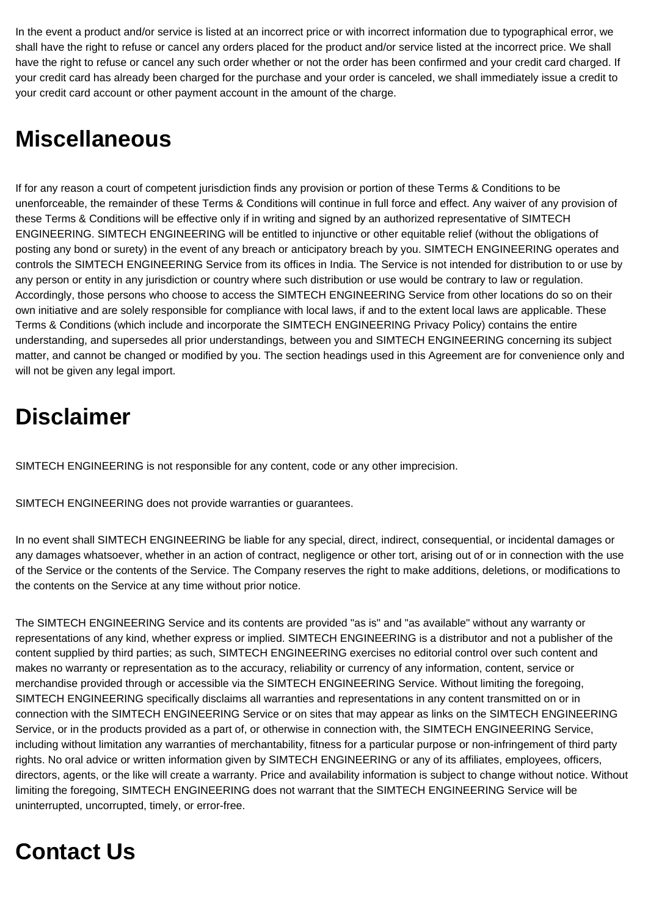In the event a product and/or service is listed at an incorrect price or with incorrect information due to typographical error, we shall have the right to refuse or cancel any orders placed for the product and/or service listed at the incorrect price. We shall have the right to refuse or cancel any such order whether or not the order has been confirmed and your credit card charged. If your credit card has already been charged for the purchase and your order is canceled, we shall immediately issue a credit to your credit card account or other payment account in the amount of the charge.

## **Miscellaneous**

If for any reason a court of competent jurisdiction finds any provision or portion of these Terms & Conditions to be unenforceable, the remainder of these Terms & Conditions will continue in full force and effect. Any waiver of any provision of these Terms & Conditions will be effective only if in writing and signed by an authorized representative of SIMTECH ENGINEERING. SIMTECH ENGINEERING will be entitled to injunctive or other equitable relief (without the obligations of posting any bond or surety) in the event of any breach or anticipatory breach by you. SIMTECH ENGINEERING operates and controls the SIMTECH ENGINEERING Service from its offices in India. The Service is not intended for distribution to or use by any person or entity in any jurisdiction or country where such distribution or use would be contrary to law or regulation. Accordingly, those persons who choose to access the SIMTECH ENGINEERING Service from other locations do so on their own initiative and are solely responsible for compliance with local laws, if and to the extent local laws are applicable. These Terms & Conditions (which include and incorporate the SIMTECH ENGINEERING Privacy Policy) contains the entire understanding, and supersedes all prior understandings, between you and SIMTECH ENGINEERING concerning its subject matter, and cannot be changed or modified by you. The section headings used in this Agreement are for convenience only and will not be given any legal import.

# **Disclaimer**

SIMTECH ENGINEERING is not responsible for any content, code or any other imprecision.

SIMTECH ENGINEERING does not provide warranties or guarantees.

In no event shall SIMTECH ENGINEERING be liable for any special, direct, indirect, consequential, or incidental damages or any damages whatsoever, whether in an action of contract, negligence or other tort, arising out of or in connection with the use of the Service or the contents of the Service. The Company reserves the right to make additions, deletions, or modifications to the contents on the Service at any time without prior notice.

The SIMTECH ENGINEERING Service and its contents are provided "as is" and "as available" without any warranty or representations of any kind, whether express or implied. SIMTECH ENGINEERING is a distributor and not a publisher of the content supplied by third parties; as such, SIMTECH ENGINEERING exercises no editorial control over such content and makes no warranty or representation as to the accuracy, reliability or currency of any information, content, service or merchandise provided through or accessible via the SIMTECH ENGINEERING Service. Without limiting the foregoing, SIMTECH ENGINEERING specifically disclaims all warranties and representations in any content transmitted on or in connection with the SIMTECH ENGINEERING Service or on sites that may appear as links on the SIMTECH ENGINEERING Service, or in the products provided as a part of, or otherwise in connection with, the SIMTECH ENGINEERING Service, including without limitation any warranties of merchantability, fitness for a particular purpose or non-infringement of third party rights. No oral advice or written information given by SIMTECH ENGINEERING or any of its affiliates, employees, officers, directors, agents, or the like will create a warranty. Price and availability information is subject to change without notice. Without limiting the foregoing, SIMTECH ENGINEERING does not warrant that the SIMTECH ENGINEERING Service will be uninterrupted, uncorrupted, timely, or error-free.

# **Contact Us**